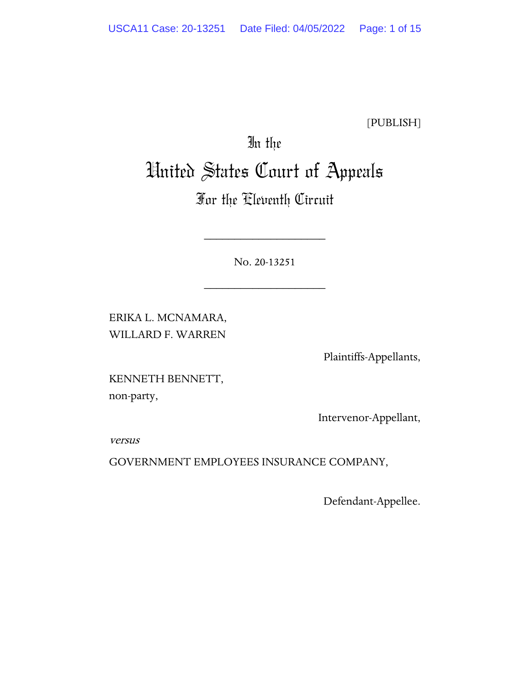[PUBLISH]

# In the United States Court of Appeals

# For the Eleventh Circuit

No. 20-13251

\_\_\_\_\_\_\_\_\_\_\_\_\_\_\_\_\_\_\_\_

\_\_\_\_\_\_\_\_\_\_\_\_\_\_\_\_\_\_\_\_

ERIKA L. MCNAMARA, WILLARD F. WARREN

Plaintiffs-Appellants,

KENNETH BENNETT, non-party,

Intervenor-Appellant,

versus

GOVERNMENT EMPLOYEES INSURANCE COMPANY,

Defendant-Appellee.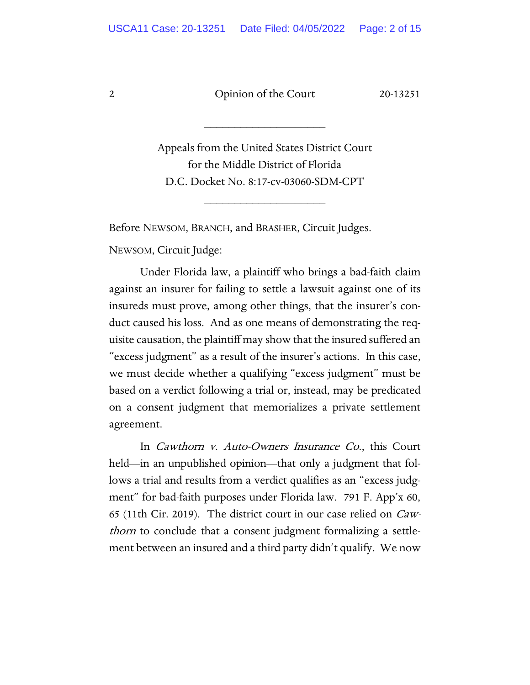\_\_\_\_\_\_\_\_\_\_\_\_\_\_\_\_\_\_\_\_

Appeals from the United States District Court for the Middle District of Florida D.C. Docket No. 8:17-cv-03060-SDM-CPT

\_\_\_\_\_\_\_\_\_\_\_\_\_\_\_\_\_\_\_\_

Before NEWSOM, BRANCH, and BRASHER, Circuit Judges.

NEWSOM, Circuit Judge:

Under Florida law, a plaintiff who brings a bad-faith claim against an insurer for failing to settle a lawsuit against one of its insureds must prove, among other things, that the insurer's conduct caused his loss. And as one means of demonstrating the requisite causation, the plaintiff may show that the insured suffered an "excess judgment" as a result of the insurer's actions. In this case, we must decide whether a qualifying "excess judgment" must be based on a verdict following a trial or, instead, may be predicated on a consent judgment that memorializes a private settlement agreement.

In Cawthorn v. Auto-Owners Insurance Co., this Court held—in an unpublished opinion—that only a judgment that follows a trial and results from a verdict qualifies as an "excess judgment" for bad-faith purposes under Florida law. 791 F. App'x 60, 65 (11th Cir. 2019). The district court in our case relied on Cawthorn to conclude that a consent judgment formalizing a settlement between an insured and a third party didn't qualify. We now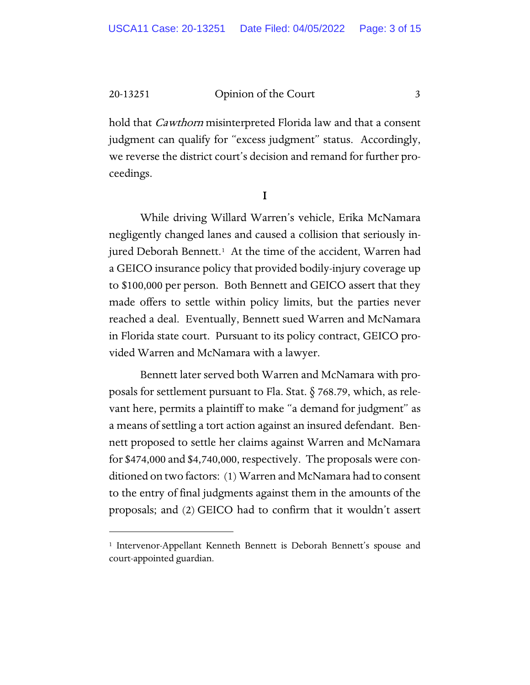hold that *Cawthorn* misinterpreted Florida law and that a consent judgment can qualify for "excess judgment" status. Accordingly, we reverse the district court's decision and remand for further proceedings.

I

While driving Willard Warren's vehicle, Erika McNamara negligently changed lanes and caused a collision that seriously injured Deborah Bennett.<sup>1</sup> At the time of the accident, Warren had a GEICO insurance policy that provided bodily-injury coverage up to \$100,000 per person. Both Bennett and GEICO assert that they made offers to settle within policy limits, but the parties never reached a deal. Eventually, Bennett sued Warren and McNamara in Florida state court. Pursuant to its policy contract, GEICO provided Warren and McNamara with a lawyer.

Bennett later served both Warren and McNamara with proposals for settlement pursuant to Fla. Stat. § 768.79, which, as relevant here, permits a plaintiff to make "a demand for judgment" as a means of settling a tort action against an insured defendant. Bennett proposed to settle her claims against Warren and McNamara for \$474,000 and \$4,740,000, respectively. The proposals were conditioned on two factors: (1) Warren and McNamara had to consent to the entry of final judgments against them in the amounts of the proposals; and (2) GEICO had to confirm that it wouldn't assert

<span id="page-2-0"></span><sup>&</sup>lt;sup>1</sup> Intervenor-Appellant Kenneth Bennett is Deborah Bennett's spouse and court-appointed guardian.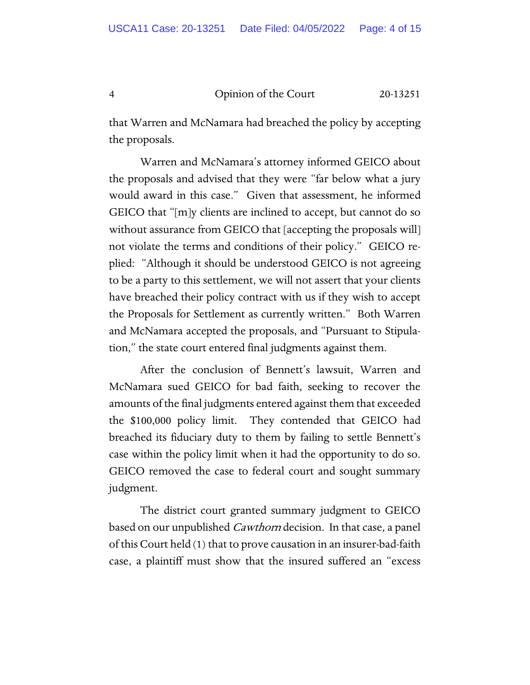that Warren and McNamara had breached the policy by accepting the proposals.

Warren and McNamara's attorney informed GEICO about the proposals and advised that they were "far below what a jury would award in this case." Given that assessment, he informed GEICO that "[m]y clients are inclined to accept, but cannot do so without assurance from GEICO that [accepting the proposals will] not violate the terms and conditions of their policy." GEICO replied: "Although it should be understood GEICO is not agreeing to be a party to this settlement, we will not assert that your clients have breached their policy contract with us if they wish to accept the Proposals for Settlement as currently written." Both Warren and McNamara accepted the proposals, and "Pursuant to Stipulation," the state court entered final judgments against them.

After the conclusion of Bennett's lawsuit, Warren and McNamara sued GEICO for bad faith, seeking to recover the amounts of the final judgments entered against them that exceeded the \$100,000 policy limit. They contended that GEICO had breached its fiduciary duty to them by failing to settle Bennett's case within the policy limit when it had the opportunity to do so. GEICO removed the case to federal court and sought summary judgment.

The district court granted summary judgment to GEICO based on our unpublished Cawthorn decision. In that case, a panel of this Court held (1) that to prove causation in an insurer-bad-faith case, a plaintiff must show that the insured suffered an "excess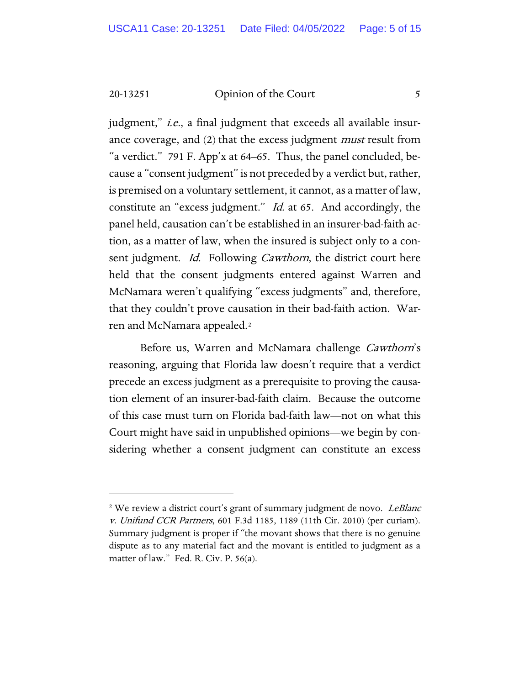judgment," *i.e.*, a final judgment that exceeds all available insurance coverage, and (2) that the excess judgment *must* result from "a verdict." 791 F. App'x at 64–65. Thus, the panel concluded, because a "consent judgment" is not preceded by a verdict but, rather, is premised on a voluntary settlement, it cannot, as a matter of law, constitute an "excess judgment." Id. at 65. And accordingly, the panel held, causation can't be established in an insurer-bad-faith action, as a matter of law, when the insured is subject only to a consent judgment. *Id.* Following *Cawthorn*, the district court here held that the consent judgments entered against Warren and McNamara weren't qualifying "excess judgments" and, therefore, that they couldn't prove causation in their bad-faith action. Warren and McNamara appealed.[2](#page-4-0)

Before us, Warren and McNamara challenge Cawthorn's reasoning, arguing that Florida law doesn't require that a verdict precede an excess judgment as a prerequisite to proving the causation element of an insurer-bad-faith claim. Because the outcome of this case must turn on Florida bad-faith law—not on what this Court might have said in unpublished opinions—we begin by considering whether a consent judgment can constitute an excess

<span id="page-4-0"></span><sup>&</sup>lt;sup>2</sup> We review a district court's grant of summary judgment de novo. LeBlanc v. Unifund CCR Partners, 601 F.3d 1185, 1189 (11th Cir. 2010) (per curiam). Summary judgment is proper if "the movant shows that there is no genuine dispute as to any material fact and the movant is entitled to judgment as a matter of law." Fed. R. Civ. P. 56(a).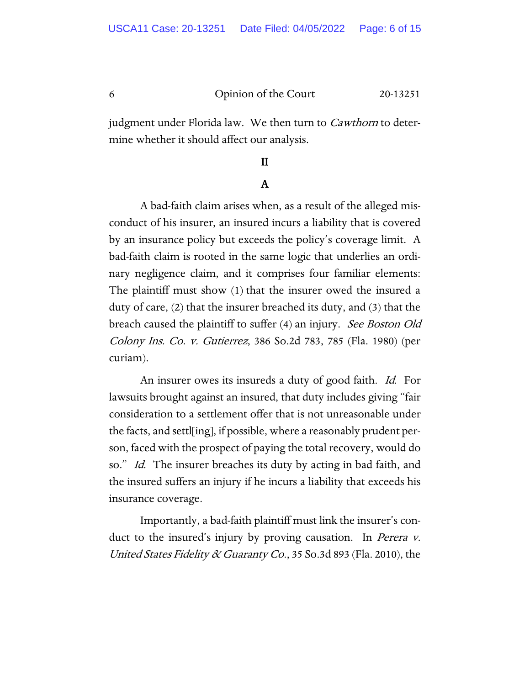judgment under Florida law. We then turn to *Cawthorn* to determine whether it should affect our analysis.

## II

## A

A bad-faith claim arises when, as a result of the alleged misconduct of his insurer, an insured incurs a liability that is covered by an insurance policy but exceeds the policy's coverage limit. A bad-faith claim is rooted in the same logic that underlies an ordinary negligence claim, and it comprises four familiar elements: The plaintiff must show (1) that the insurer owed the insured a duty of care, (2) that the insurer breached its duty, and (3) that the breach caused the plaintiff to suffer (4) an injury. See Boston Old Colony Ins. Co. v. Gutierrez, 386 So.2d 783, 785 (Fla. 1980) (per curiam).

An insurer owes its insureds a duty of good faith. *Id.* For lawsuits brought against an insured, that duty includes giving "fair consideration to a settlement offer that is not unreasonable under the facts, and settl[ing], if possible, where a reasonably prudent person, faced with the prospect of paying the total recovery, would do so." *Id.* The insurer breaches its duty by acting in bad faith, and the insured suffers an injury if he incurs a liability that exceeds his insurance coverage.

Importantly, a bad-faith plaintiff must link the insurer's conduct to the insured's injury by proving causation. In *Perera v.* United States Fidelity & Guaranty Co., 35 So.3d 893 (Fla. 2010), the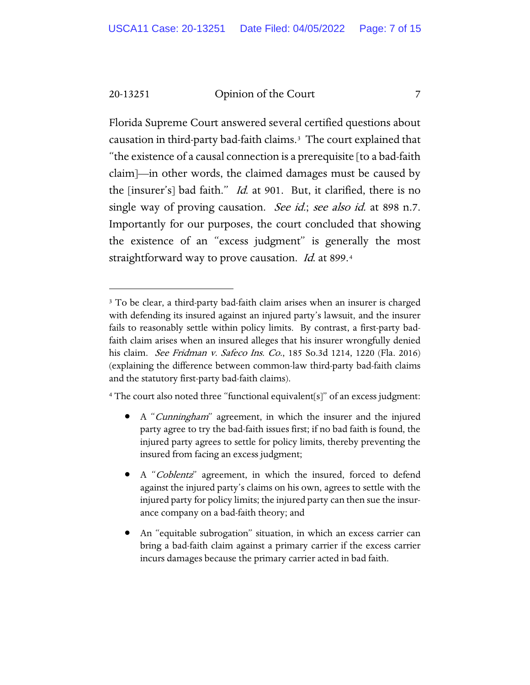Florida Supreme Court answered several certified questions about causation in third-party bad-faith claims.[3](#page-6-0) The court explained that "the existence of a causal connection is a prerequisite [to a bad-faith claim]—in other words, the claimed damages must be caused by the [insurer's] bad faith." Id. at 901. But, it clarified, there is no single way of proving causation. See id.; see also id. at 898 n.7. Importantly for our purposes, the court concluded that showing the existence of an "excess judgment" is generally the most straightforward way to prove causation. *Id.* at 899.[4](#page-6-1)

<span id="page-6-1"></span><sup>4</sup> The court also noted three "functional equivalent[s]" of an excess judgment:

- A "Cunningham" agreement, in which the insurer and the injured party agree to try the bad-faith issues first; if no bad faith is found, the injured party agrees to settle for policy limits, thereby preventing the insured from facing an excess judgment;
- A "Coblentz" agreement, in which the insured, forced to defend against the injured party's claims on his own, agrees to settle with the injured party for policy limits; the injured party can then sue the insurance company on a bad-faith theory; and
- An "equitable subrogation" situation, in which an excess carrier can bring a bad-faith claim against a primary carrier if the excess carrier incurs damages because the primary carrier acted in bad faith.

<span id="page-6-0"></span><sup>&</sup>lt;sup>3</sup> To be clear, a third-party bad-faith claim arises when an insurer is charged with defending its insured against an injured party's lawsuit, and the insurer fails to reasonably settle within policy limits. By contrast, a first-party badfaith claim arises when an insured alleges that his insurer wrongfully denied his claim. See Fridman v. Safeco Ins. Co., 185 So.3d 1214, 1220 (Fla. 2016) (explaining the difference between common-law third-party bad-faith claims and the statutory first-party bad-faith claims).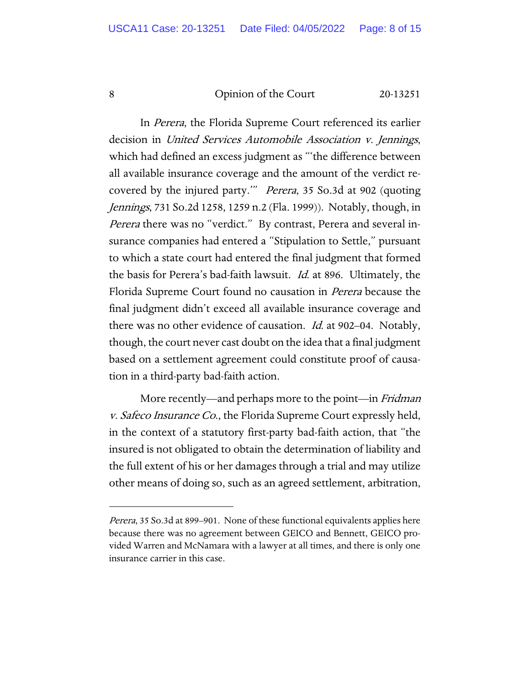In Perera, the Florida Supreme Court referenced its earlier decision in United Services Automobile Association v. Jennings, which had defined an excess judgment as "'the difference between all available insurance coverage and the amount of the verdict recovered by the injured party.'" Perera, 35 So.3d at 902 (quoting Jennings, 731 So.2d 1258, 1259 n.2 (Fla. 1999)). Notably, though, in Perera there was no "verdict." By contrast, Perera and several insurance companies had entered a "Stipulation to Settle," pursuant to which a state court had entered the final judgment that formed the basis for Perera's bad-faith lawsuit. Id. at 896. Ultimately, the Florida Supreme Court found no causation in Perera because the final judgment didn't exceed all available insurance coverage and there was no other evidence of causation. Id. at 902–04. Notably, though, the court never cast doubt on the idea that a final judgment based on a settlement agreement could constitute proof of causation in a third-party bad-faith action.

More recently—and perhaps more to the point—in *Fridman* v. Safeco Insurance Co., the Florida Supreme Court expressly held, in the context of a statutory first-party bad-faith action, that "the insured is not obligated to obtain the determination of liability and the full extent of his or her damages through a trial and may utilize other means of doing so, such as an agreed settlement, arbitration,

Perera, 35 So.3d at 899-901. None of these functional equivalents applies here because there was no agreement between GEICO and Bennett, GEICO provided Warren and McNamara with a lawyer at all times, and there is only one insurance carrier in this case.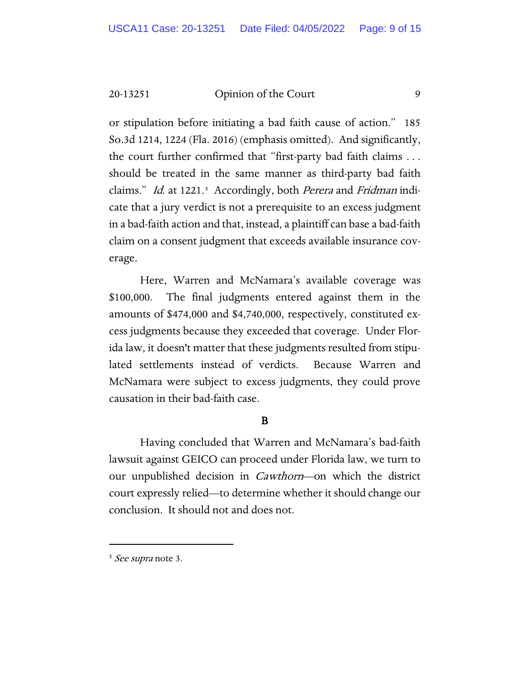or stipulation before initiating a bad faith cause of action." 185 So.3d 1214, 1224 (Fla. 2016) (emphasis omitted). And significantly, the court further confirmed that "first-party bad faith claims . . . should be treated in the same manner as third-party bad faith claims." *Id.* at 1221.<sup>5</sup> Accordingly, both *Perera* and *Fridman* indicate that a jury verdict is not a prerequisite to an excess judgment in a bad-faith action and that, instead, a plaintiff can base a bad-faith claim on a consent judgment that exceeds available insurance coverage.

Here, Warren and McNamara's available coverage was \$100,000. The final judgments entered against them in the amounts of \$474,000 and \$4,740,000, respectively, constituted excess judgments because they exceeded that coverage. Under Florida law, it doesn't matter that these judgments resulted from stipulated settlements instead of verdicts. Because Warren and McNamara were subject to excess judgments, they could prove causation in their bad-faith case.

#### B

Having concluded that Warren and McNamara's bad-faith lawsuit against GEICO can proceed under Florida law, we turn to our unpublished decision in Cawthorn—on which the district court expressly relied—to determine whether it should change our conclusion. It should not and does not.

<span id="page-8-0"></span><sup>&</sup>lt;sup>5</sup> See supra note 3.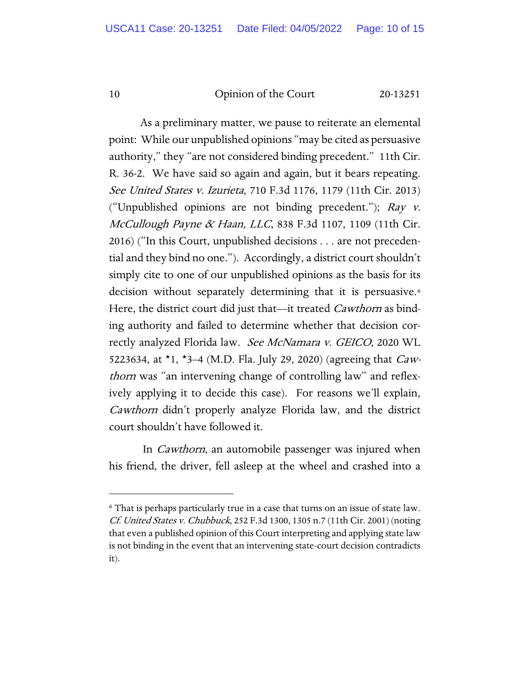As a preliminary matter, we pause to reiterate an elemental point: While our unpublished opinions "may be cited as persuasive authority," they "are not considered binding precedent." 11th Cir. R. 36-2. We have said so again and again, but it bears repeating. See United States v. Izurieta, 710 F.3d 1176, 1179 (11th Cir. 2013) ("Unpublished opinions are not binding precedent."); Ray v. McCullough Payne & Haan, LLC, 838 F.3d 1107, 1109 (11th Cir. 2016) ("In this Court, unpublished decisions . . . are not precedential and they bind no one."). Accordingly, a district court shouldn't simply cite to one of our unpublished opinions as the basis for its decision without separately determining that it is persuasive.<sup>[6](#page-9-0)</sup> Here, the district court did just that—it treated *Cawthorn* as binding authority and failed to determine whether that decision correctly analyzed Florida law. See McNamara v. GEICO, 2020 WL 5223634, at  $*1$ ,  $*3-4$  (M.D. Fla. July 29, 2020) (agreeing that *Caw*thorn was "an intervening change of controlling law" and reflexively applying it to decide this case). For reasons we'll explain, Cawthorn didn't properly analyze Florida law, and the district court shouldn't have followed it.

In Cawthorn, an automobile passenger was injured when his friend, the driver, fell asleep at the wheel and crashed into a

<span id="page-9-0"></span><sup>6</sup> That is perhaps particularly true in a case that turns on an issue of state law. Cf. United States v. Chubbuck, 252 F.3d 1300, 1305 n.7 (11th Cir. 2001) (noting that even a published opinion of this Court interpreting and applying state law is not binding in the event that an intervening state-court decision contradicts it).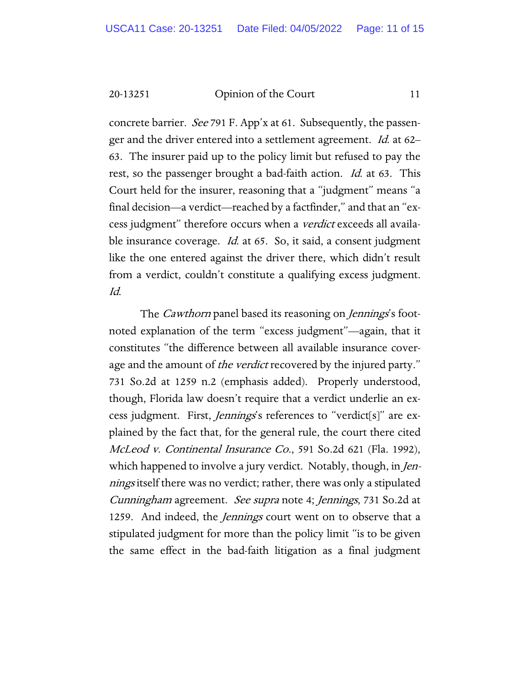concrete barrier. *See* 791 F. App'x at 61. Subsequently, the passenger and the driver entered into a settlement agreement. *Id.* at 62– 63. The insurer paid up to the policy limit but refused to pay the rest, so the passenger brought a bad-faith action. Id. at 63. This Court held for the insurer, reasoning that a "judgment" means "a final decision—a verdict—reached by a factfinder," and that an "excess judgment" therefore occurs when a verdict exceeds all available insurance coverage. *Id.* at 65. So, it said, a consent judgment like the one entered against the driver there, which didn't result from a verdict, couldn't constitute a qualifying excess judgment. Id.

The *Cawthorn* panel based its reasoning on *Jennings's* footnoted explanation of the term "excess judgment"—again, that it constitutes "the difference between all available insurance coverage and the amount of *the verdict* recovered by the injured party." 731 So.2d at 1259 n.2 (emphasis added). Properly understood, though, Florida law doesn't require that a verdict underlie an excess judgment. First, *Jennings's* references to "verdict<sup>[s]"</sup> are explained by the fact that, for the general rule, the court there cited McLeod v. Continental Insurance Co., 591 So.2d 621 (Fla. 1992), which happened to involve a jury verdict. Notably, though, in *Jen*nings itself there was no verdict; rather, there was only a stipulated Cunningham agreement. See supra note 4; Jennings, 731 So.2d at 1259. And indeed, the *Jennings* court went on to observe that a stipulated judgment for more than the policy limit "is to be given the same effect in the bad-faith litigation as a final judgment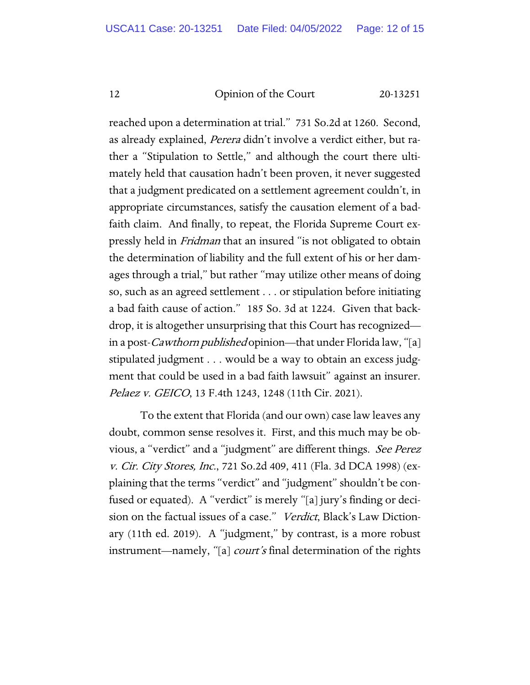reached upon a determination at trial." 731 So.2d at 1260. Second, as already explained, Perera didn't involve a verdict either, but rather a "Stipulation to Settle," and although the court there ultimately held that causation hadn't been proven, it never suggested that a judgment predicated on a settlement agreement couldn't, in appropriate circumstances, satisfy the causation element of a badfaith claim. And finally, to repeat, the Florida Supreme Court expressly held in *Fridman* that an insured "is not obligated to obtain the determination of liability and the full extent of his or her damages through a trial," but rather "may utilize other means of doing so, such as an agreed settlement . . . or stipulation before initiating a bad faith cause of action." 185 So. 3d at 1224. Given that backdrop, it is altogether unsurprising that this Court has recognized in a post-*Cawthorn published* opinion—that under Florida law, "[a] stipulated judgment . . . would be a way to obtain an excess judgment that could be used in a bad faith lawsuit" against an insurer. Pelaez v. GEICO, 13 F.4th 1243, 1248 (11th Cir. 2021).

To the extent that Florida (and our own) case law leaves any doubt, common sense resolves it. First, and this much may be obvious, a "verdict" and a "judgment" are different things. See Perez v. Cir. City Stores, Inc., 721 So.2d 409, 411 (Fla. 3d DCA 1998) (explaining that the terms "verdict" and "judgment" shouldn't be confused or equated). A "verdict" is merely "[a] jury's finding or decision on the factual issues of a case." Verdict, Black's Law Dictionary (11th ed. 2019). A "judgment," by contrast, is a more robust instrument—namely, "[a] *court's* final determination of the rights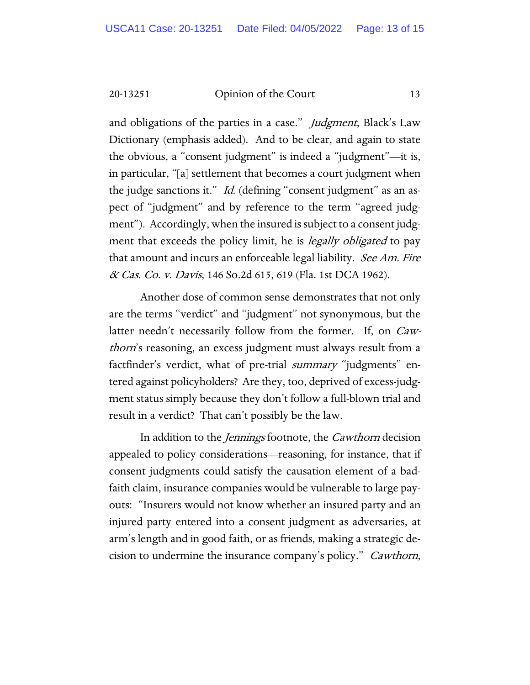and obligations of the parties in a case." *Judgment*, Black's Law Dictionary (emphasis added). And to be clear, and again to state the obvious, a "consent judgment" is indeed a "judgment"—it is, in particular, "[a] settlement that becomes a court judgment when the judge sanctions it." *Id.* (defining "consent judgment" as an aspect of "judgment" and by reference to the term "agreed judgment"). Accordingly, when the insured is subject to a consent judgment that exceeds the policy limit, he is *legally obligated* to pay that amount and incurs an enforceable legal liability. See Am. Fire & Cas. Co. v. Davis, 146 So.2d 615, 619 (Fla. 1st DCA 1962).

Another dose of common sense demonstrates that not only are the terms "verdict" and "judgment" not synonymous, but the latter needn't necessarily follow from the former. If, on Cawthorn's reasoning, an excess judgment must always result from a factfinder's verdict, what of pre-trial *summary* "judgments" entered against policyholders? Are they, too, deprived of excess-judgment status simply because they don't follow a full-blown trial and result in a verdict? That can't possibly be the law.

In addition to the Jennings footnote, the Cawthorn decision appealed to policy considerations—reasoning, for instance, that if consent judgments could satisfy the causation element of a badfaith claim, insurance companies would be vulnerable to large payouts: "Insurers would not know whether an insured party and an injured party entered into a consent judgment as adversaries, at arm's length and in good faith, or as friends, making a strategic decision to undermine the insurance company's policy." Cawthorn,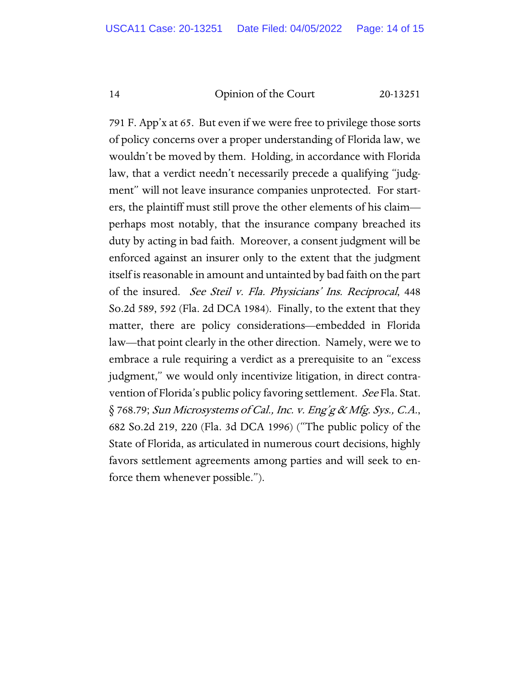791 F. App'x at 65. But even if we were free to privilege those sorts of policy concerns over a proper understanding of Florida law, we wouldn't be moved by them. Holding, in accordance with Florida law, that a verdict needn't necessarily precede a qualifying "judgment" will not leave insurance companies unprotected. For starters, the plaintiff must still prove the other elements of his claim perhaps most notably, that the insurance company breached its duty by acting in bad faith. Moreover, a consent judgment will be enforced against an insurer only to the extent that the judgment itself is reasonable in amount and untainted by bad faith on the part of the insured. See Steil v. Fla. Physicians' Ins. Reciprocal, 448 So.2d 589, 592 (Fla. 2d DCA 1984). Finally, to the extent that they matter, there are policy considerations—embedded in Florida law—that point clearly in the other direction. Namely, were we to embrace a rule requiring a verdict as a prerequisite to an "excess judgment," we would only incentivize litigation, in direct contravention of Florida's public policy favoring settlement. See Fla. Stat. § 768.79; Sun Microsystems of Cal., Inc. v. Eng'g & Mfg. Sys., C.A., 682 So.2d 219, 220 (Fla. 3d DCA 1996) ("The public policy of the State of Florida, as articulated in numerous court decisions, highly favors settlement agreements among parties and will seek to enforce them whenever possible.").